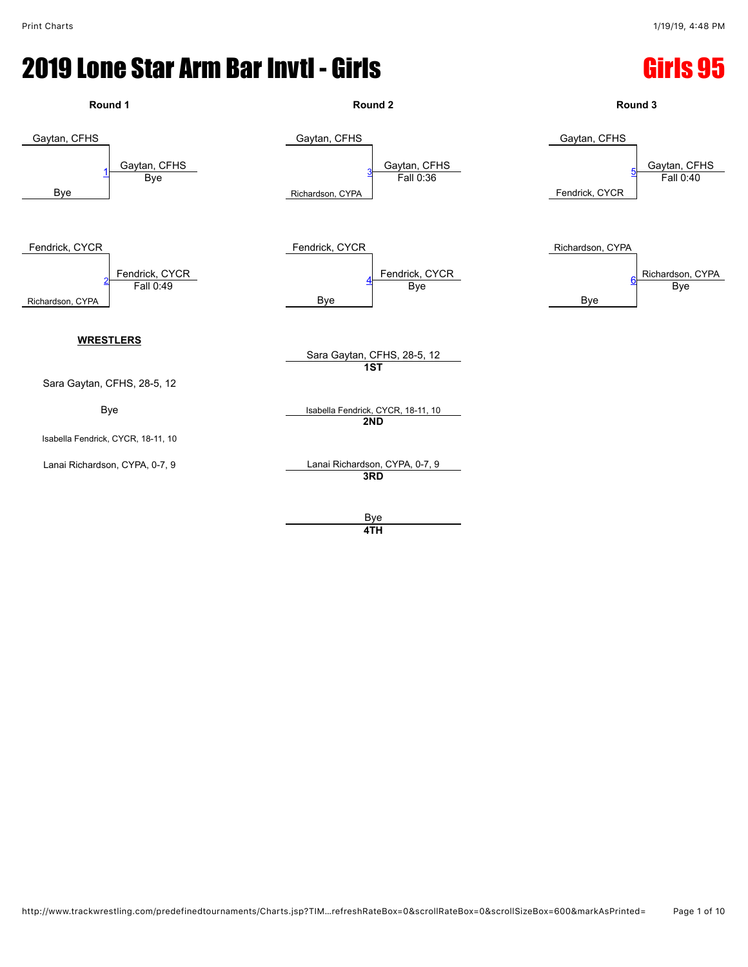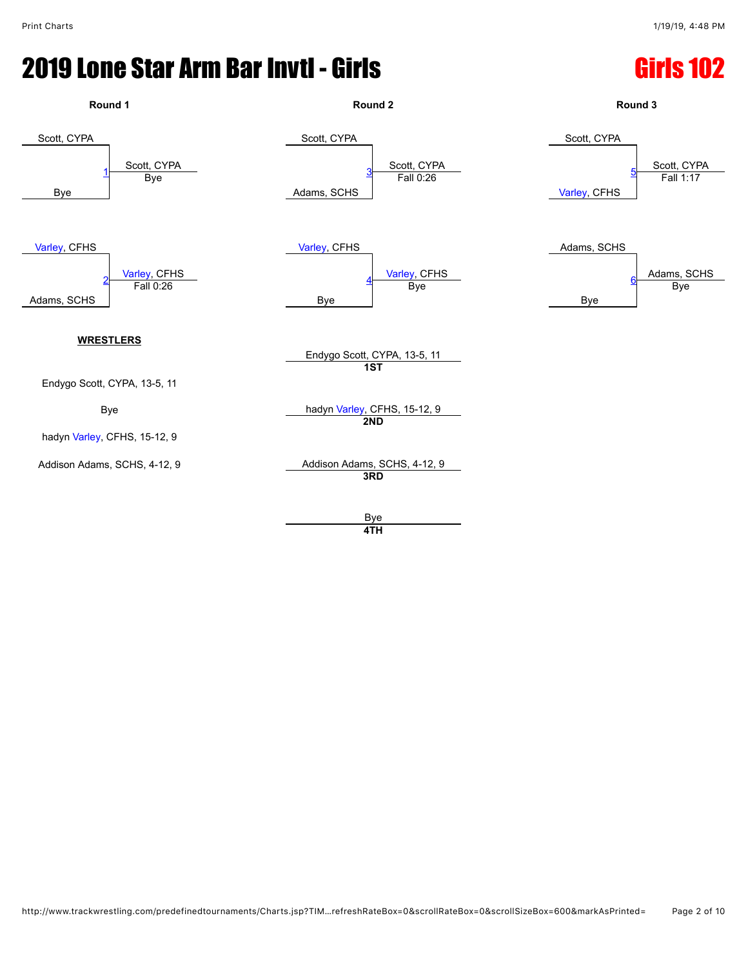

**4TH**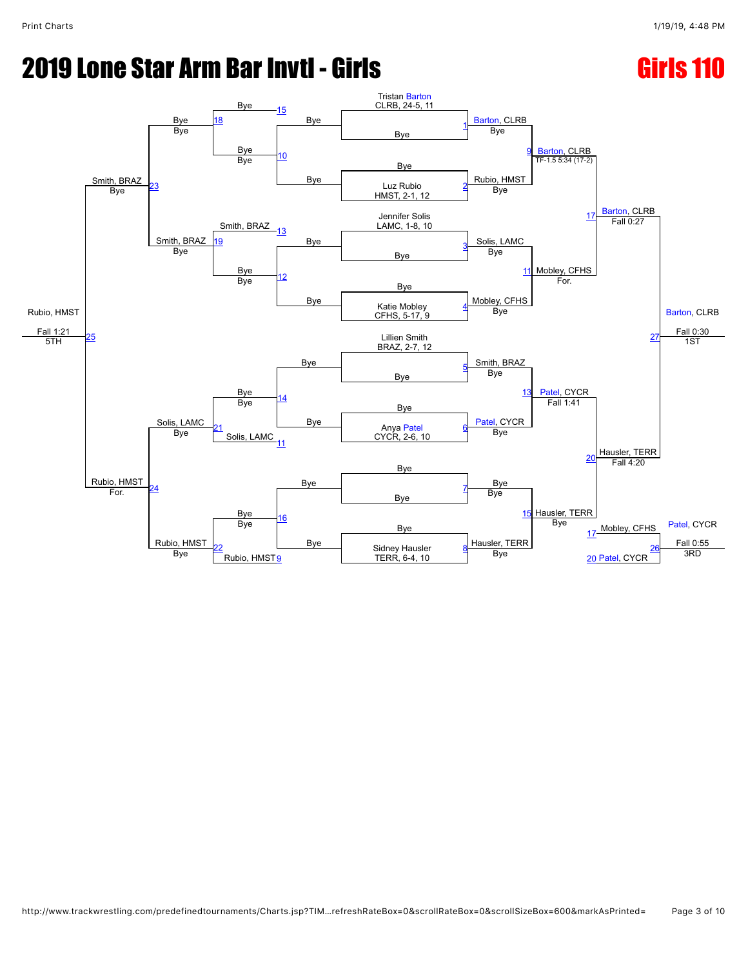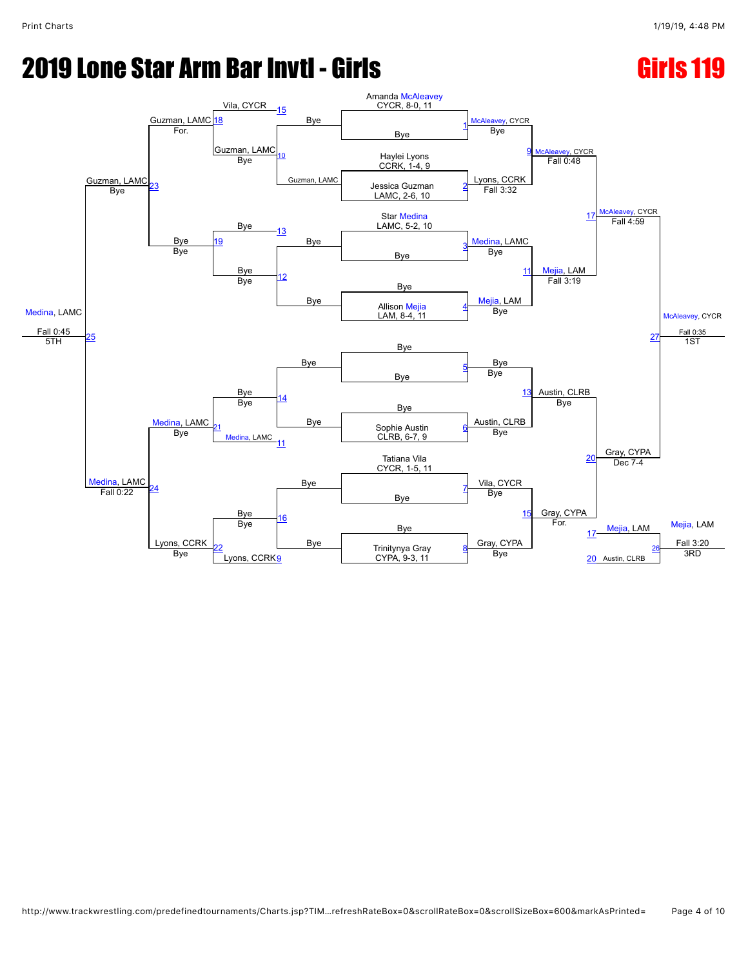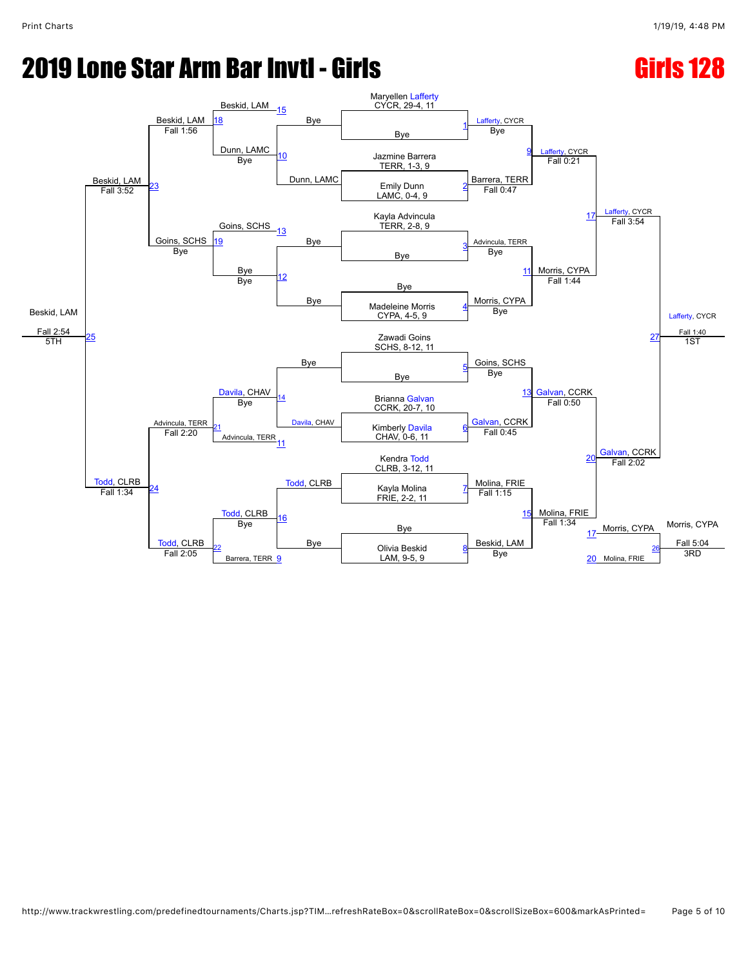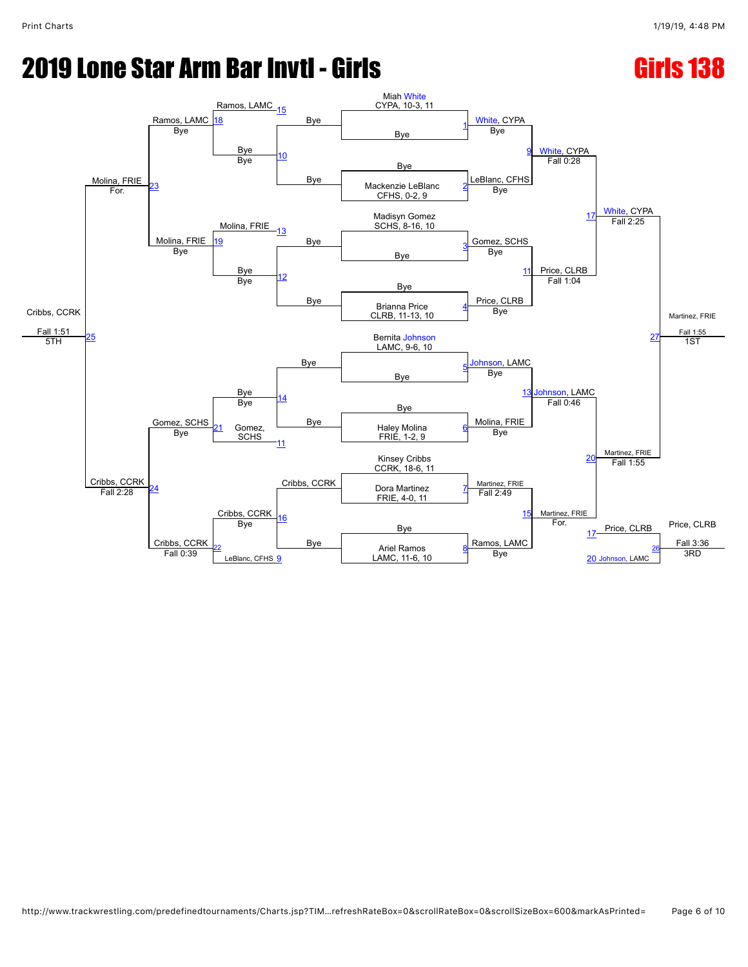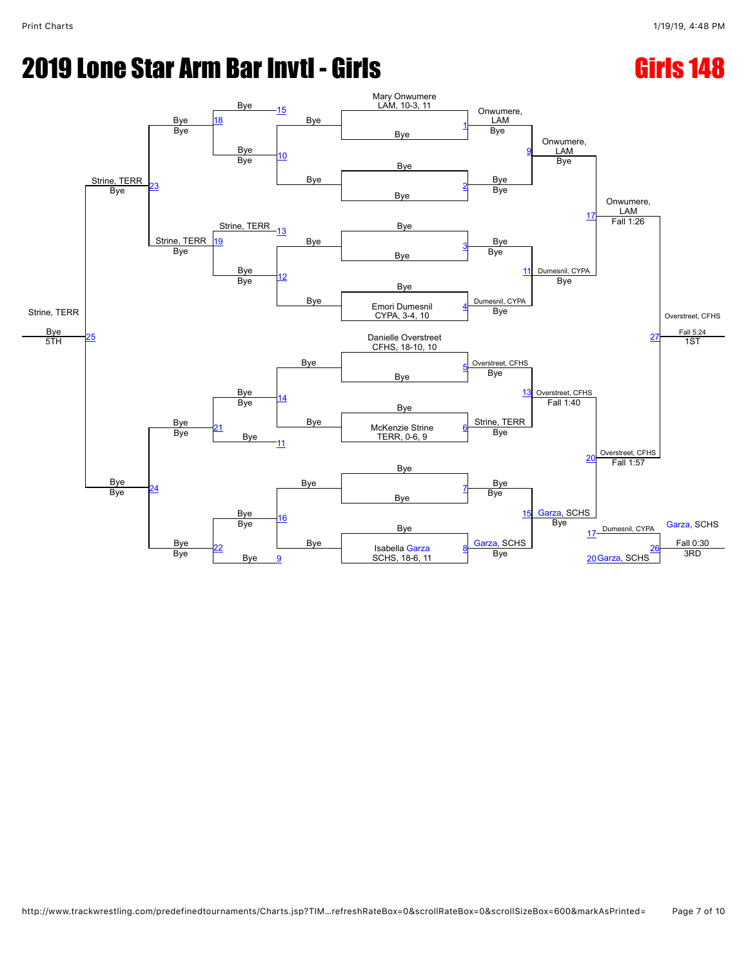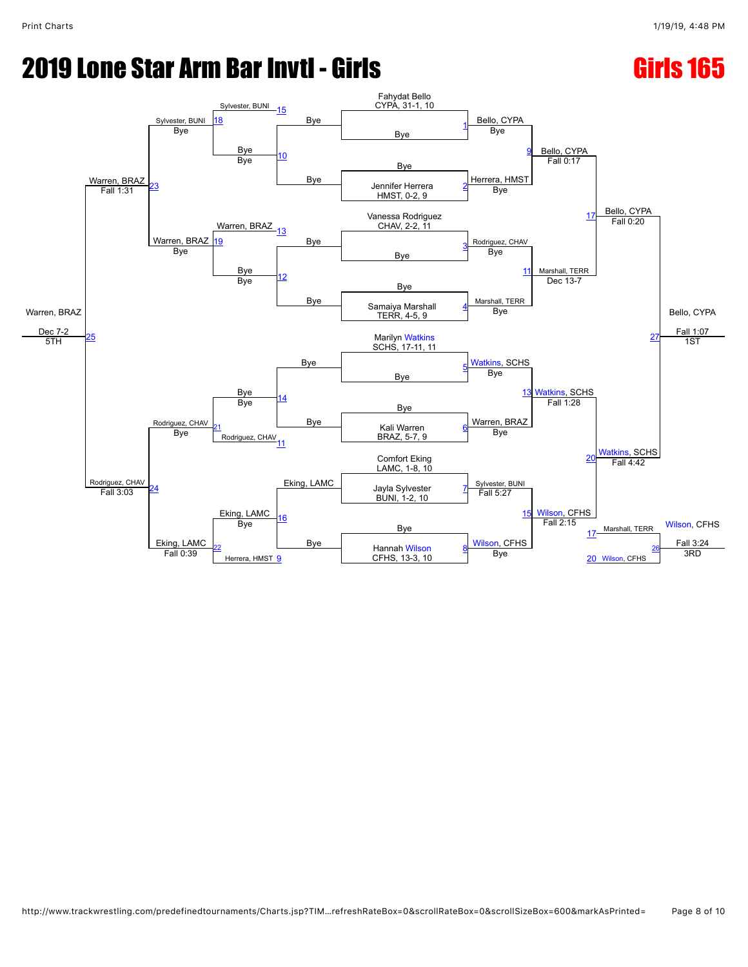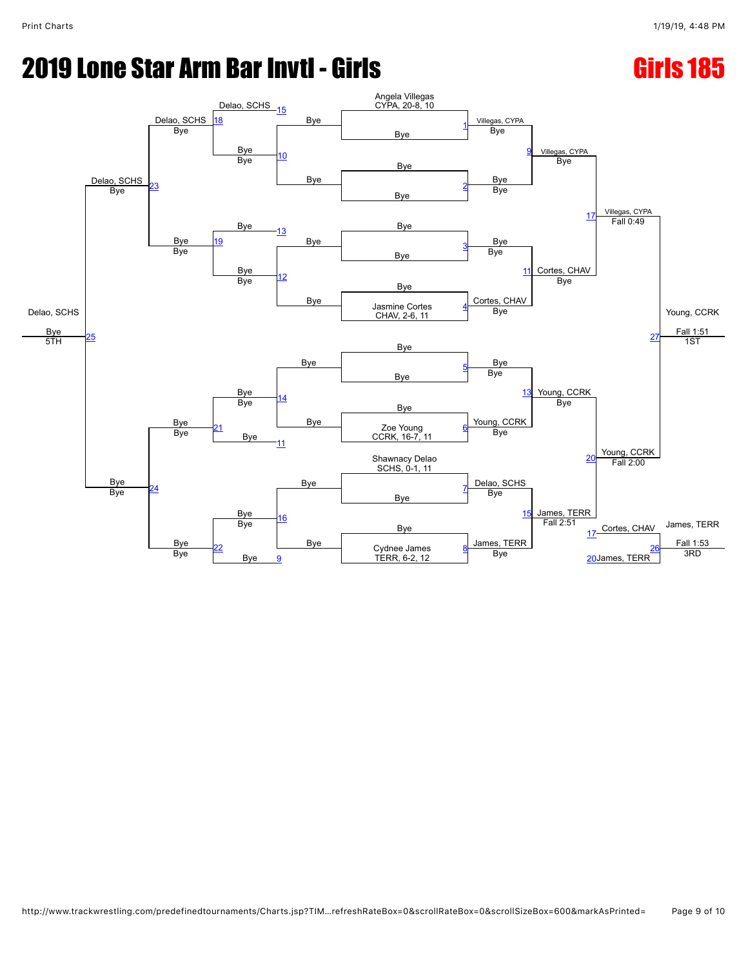